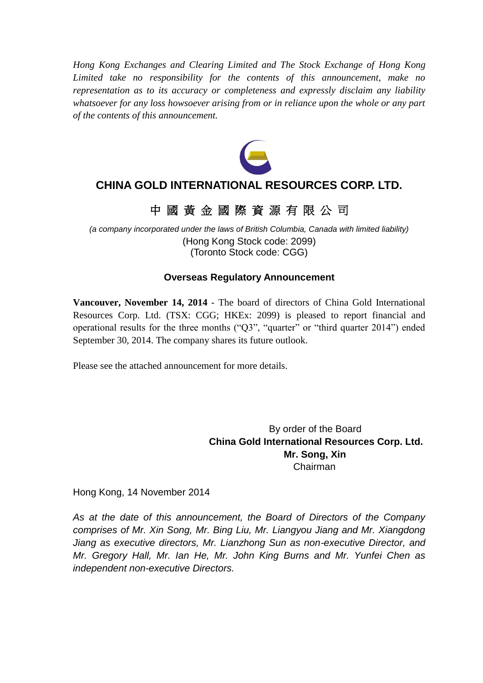*Hong Kong Exchanges and Clearing Limited and The Stock Exchange of Hong Kong Limited take no responsibility for the contents of this announcement, make no representation as to its accuracy or completeness and expressly disclaim any liability whatsoever for any loss howsoever arising from or in reliance upon the whole or any part of the contents of this announcement.*



### **CHINA GOLD INTERNATIONAL RESOURCES CORP. LTD.**

### 中 國 黃 金 國 際 資 源 有 限 公 司

*(a company incorporated under the laws of British Columbia, Canada with limited liability)* (Hong Kong Stock code: 2099) (Toronto Stock code: CGG)

### **Overseas Regulatory Announcement**

**Vancouver, November 14, 2014** - The board of directors of China Gold International Resources Corp. Ltd. (TSX: CGG; HKEx: 2099) is pleased to report financial and operational results for the three months ("Q3", "quarter" or "third quarter 2014") ended September 30, 2014. The company shares its future outlook.

Please see the attached announcement for more details.

By order of the Board **China Gold International Resources Corp. Ltd. Mr. Song, Xin** Chairman

Hong Kong, 14 November 2014

*As at the date of this announcement, the Board of Directors of the Company comprises of Mr. Xin Song, Mr. Bing Liu, Mr. Liangyou Jiang and Mr. Xiangdong Jiang as executive directors, Mr. Lianzhong Sun as non-executive Director, and Mr. Gregory Hall, Mr. Ian He, Mr. John King Burns and Mr. Yunfei Chen as independent non-executive Directors.*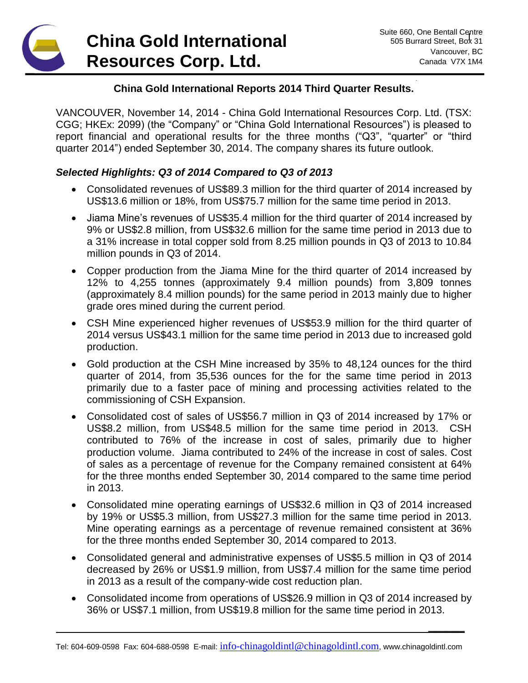## **China Gold International Resources Corp. Ltd.**

**\_\_\_\_\_\_**

### **China Gold International Reports 2014 Third Quarter Results.**

VANCOUVER, November 14, 2014 - China Gold International Resources Corp. Ltd. (TSX: CGG; HKEx: 2099) (the "Company" or "China Gold International Resources") is pleased to report financial and operational results for the three months ("Q3", "quarter" or "third quarter 2014") ended September 30, 2014. The company shares its future outlook.

### *Selected Highlights: Q3 of 2014 Compared to Q3 of 2013*

- Consolidated revenues of US\$89.3 million for the third quarter of 2014 increased by US\$13.6 million or 18%, from US\$75.7 million for the same time period in 2013.
- Jiama Mine's revenues of US\$35.4 million for the third quarter of 2014 increased by 9% or US\$2.8 million, from US\$32.6 million for the same time period in 2013 due to a 31% increase in total copper sold from 8.25 million pounds in Q3 of 2013 to 10.84 million pounds in Q3 of 2014.
- Copper production from the Jiama Mine for the third quarter of 2014 increased by 12% to 4,255 tonnes (approximately 9.4 million pounds) from 3,809 tonnes (approximately 8.4 million pounds) for the same period in 2013 mainly due to higher grade ores mined during the current period.
- CSH Mine experienced higher revenues of US\$53.9 million for the third quarter of 2014 versus US\$43.1 million for the same time period in 2013 due to increased gold production.
- Gold production at the CSH Mine increased by 35% to 48,124 ounces for the third quarter of 2014, from 35,536 ounces for the for the same time period in 2013 primarily due to a faster pace of mining and processing activities related to the commissioning of CSH Expansion.
- Consolidated cost of sales of US\$56.7 million in Q3 of 2014 increased by 17% or US\$8.2 million, from US\$48.5 million for the same time period in 2013. CSH contributed to 76% of the increase in cost of sales, primarily due to higher production volume. Jiama contributed to 24% of the increase in cost of sales. Cost of sales as a percentage of revenue for the Company remained consistent at 64% for the three months ended September 30, 2014 compared to the same time period in 2013.
- Consolidated mine operating earnings of US\$32.6 million in Q3 of 2014 increased by 19% or US\$5.3 million, from US\$27.3 million for the same time period in 2013. Mine operating earnings as a percentage of revenue remained consistent at 36% for the three months ended September 30, 2014 compared to 2013.
- Consolidated general and administrative expenses of US\$5.5 million in Q3 of 2014 decreased by 26% or US\$1.9 million, from US\$7.4 million for the same time period in 2013 as a result of the company-wide cost reduction plan.
- Consolidated income from operations of US\$26.9 million in Q3 of 2014 increased by 36% or US\$7.1 million, from US\$19.8 million for the same time period in 2013.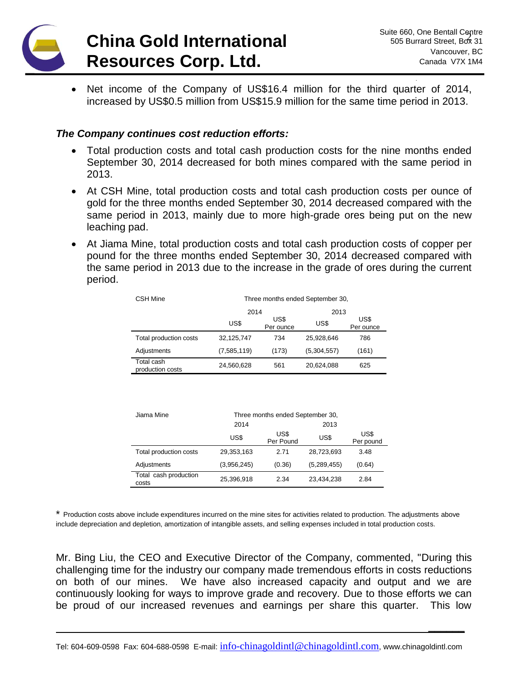

**\_\_\_\_\_\_**

• Net income of the Company of US\$16.4 million for the third quarter of 2014, increased by US\$0.5 million from US\$15.9 million for the same time period in 2013.

#### *The Company continues cost reduction efforts:*

- Total production costs and total cash production costs for the nine months ended September 30, 2014 decreased for both mines compared with the same period in 2013.
- At CSH Mine, total production costs and total cash production costs per ounce of gold for the three months ended September 30, 2014 decreased compared with the same period in 2013, mainly due to more high-grade ores being put on the new leaching pad.
- At Jiama Mine, total production costs and total cash production costs of copper per pound for the three months ended September 30, 2014 decreased compared with the same period in 2013 due to the increase in the grade of ores during the current period.

| <b>CSH Mine</b>                | Three months ended September 30, |                   |             |                   |  |
|--------------------------------|----------------------------------|-------------------|-------------|-------------------|--|
|                                | 2014                             |                   | 2013        |                   |  |
|                                | US\$                             | US\$<br>Per ounce | US\$        | US\$<br>Per ounce |  |
| Total production costs         | 32.125.747                       | 734               | 25.928.646  | 786               |  |
| Adjustments                    | (7,585,119)                      | (173)             | (5,304,557) | (161)             |  |
| Total cash<br>production costs | 24,560,628                       | 561               | 20.624.088  | 625               |  |

| Jiama Mine                     | Three months ended September 30, |                   |             |                   |  |
|--------------------------------|----------------------------------|-------------------|-------------|-------------------|--|
|                                | 2014                             |                   | 2013        |                   |  |
|                                | US\$                             | US\$<br>Per Pound | US\$        | US\$<br>Per pound |  |
| Total production costs         | 29,353,163                       | 2.71              | 28.723.693  | 3.48              |  |
| Adjustments                    | (3,956,245)                      | (0.36)            | (5,289,455) | (0.64)            |  |
| Total cash production<br>costs | 25,396,918                       | 2.34              | 23,434,238  | 2.84              |  |

\* Production costs above include expenditures incurred on the mine sites for activities related to production. The adjustments above include depreciation and depletion, amortization of intangible assets, and selling expenses included in total production costs.

Mr. Bing Liu, the CEO and Executive Director of the Company, commented, "During this challenging time for the industry our company made tremendous efforts in costs reductions on both of our mines. We have also increased capacity and output and we are continuously looking for ways to improve grade and recovery. Due to those efforts we can be proud of our increased revenues and earnings per share this quarter. This low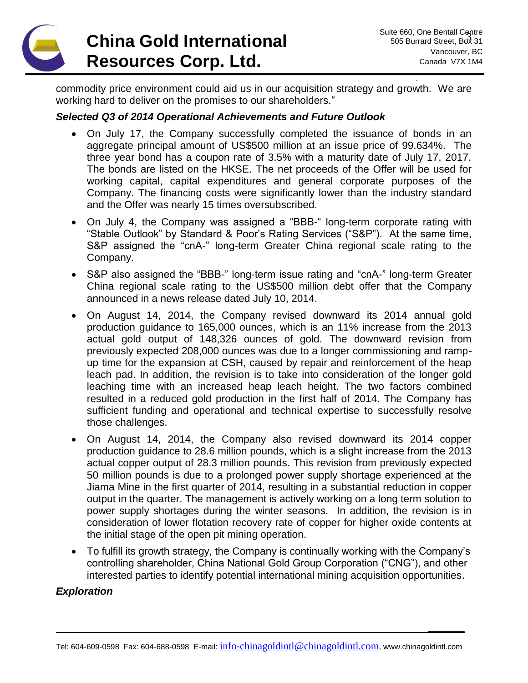## **China Gold International Resources Corp. Ltd.**

**\_\_\_\_\_\_**

commodity price environment could aid us in our acquisition strategy and growth. We are working hard to deliver on the promises to our shareholders."

### *Selected Q3 of 2014 Operational Achievements and Future Outlook*

- On July 17, the Company successfully completed the issuance of bonds in an aggregate principal amount of US\$500 million at an issue price of 99.634%. The three year bond has a coupon rate of 3.5% with a maturity date of July 17, 2017. The bonds are listed on the HKSE. The net proceeds of the Offer will be used for working capital, capital expenditures and general corporate purposes of the Company. The financing costs were significantly lower than the industry standard and the Offer was nearly 15 times oversubscribed.
- On July 4, the Company was assigned a "BBB-" long-term corporate rating with "Stable Outlook" by Standard & Poor's Rating Services ("S&P"). At the same time, S&P assigned the "cnA-" long-term Greater China regional scale rating to the Company.
- S&P also assigned the "BBB-" long-term issue rating and "cnA-" long-term Greater China regional scale rating to the US\$500 million debt offer that the Company announced in a news release dated July 10, 2014.
- On August 14, 2014, the Company revised downward its 2014 annual gold production guidance to 165,000 ounces, which is an 11% increase from the 2013 actual gold output of 148,326 ounces of gold. The downward revision from previously expected 208,000 ounces was due to a longer commissioning and rampup time for the expansion at CSH, caused by repair and reinforcement of the heap leach pad. In addition, the revision is to take into consideration of the longer gold leaching time with an increased heap leach height. The two factors combined resulted in a reduced gold production in the first half of 2014. The Company has sufficient funding and operational and technical expertise to successfully resolve those challenges.
- On August 14, 2014, the Company also revised downward its 2014 copper production guidance to 28.6 million pounds, which is a slight increase from the 2013 actual copper output of 28.3 million pounds. This revision from previously expected 50 million pounds is due to a prolonged power supply shortage experienced at the Jiama Mine in the first quarter of 2014, resulting in a substantial reduction in copper output in the quarter. The management is actively working on a long term solution to power supply shortages during the winter seasons. In addition, the revision is in consideration of lower flotation recovery rate of copper for higher oxide contents at the initial stage of the open pit mining operation.
- To fulfill its growth strategy, the Company is continually working with the Company's controlling shareholder, China National Gold Group Corporation ("CNG"), and other interested parties to identify potential international mining acquisition opportunities.

### *Exploration*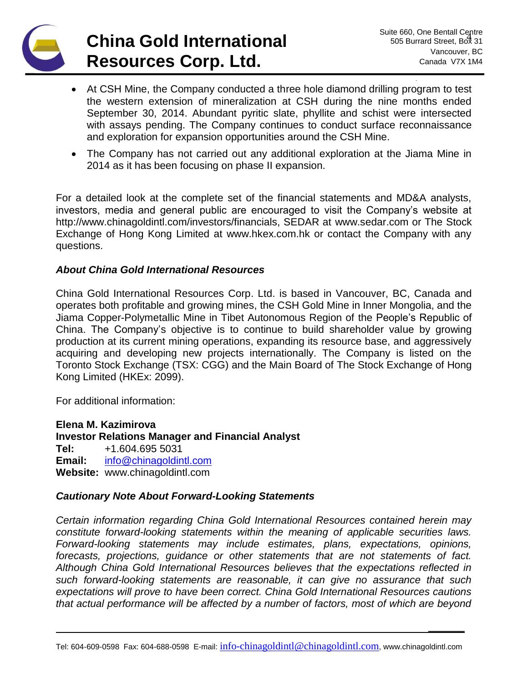# **China Gold International Resources Corp. Ltd.**

**\_\_\_\_\_\_**

- At CSH Mine, the Company conducted a three hole diamond drilling program to test the western extension of mineralization at CSH during the nine months ended September 30, 2014. Abundant pyritic slate, phyllite and schist were intersected with assays pending. The Company continues to conduct surface reconnaissance and exploration for expansion opportunities around the CSH Mine.
- The Company has not carried out any additional exploration at the Jiama Mine in 2014 as it has been focusing on phase II expansion.

For a detailed look at the complete set of the financial statements and MD&A analysts, investors, media and general public are encouraged to visit the Company's website at http://www.chinagoldintl.com/investors/financials, SEDAR at [www.sedar.com](http://www.sedar.com/) or The Stock Exchange of Hong Kong Limited at www.hkex.com.hk or contact the Company with any questions.

### *About China Gold International Resources*

China Gold International Resources Corp. Ltd. is based in Vancouver, BC, Canada and operates both profitable and growing mines, the CSH Gold Mine in Inner Mongolia, and the Jiama Copper-Polymetallic Mine in Tibet Autonomous Region of the People's Republic of China. The Company's objective is to continue to build shareholder value by growing production at its current mining operations, expanding its resource base, and aggressively acquiring and developing new projects internationally. The Company is listed on the Toronto Stock Exchange (TSX: CGG) and the Main Board of The Stock Exchange of Hong Kong Limited (HKEx: 2099).

For additional information:

**Elena M. Kazimirova Investor Relations Manager and Financial Analyst Tel:** +1.604.695 5031 **Email:** [info@chinagoldintl.com](mailto:info@chinagoldintl.com) **Website:** www.chinagoldintl.com

#### *Cautionary Note About Forward-Looking Statements*

*Certain information regarding China Gold International Resources contained herein may constitute forward-looking statements within the meaning of applicable securities laws. Forward-looking statements may include estimates, plans, expectations, opinions, forecasts, projections, guidance or other statements that are not statements of fact. Although China Gold International Resources believes that the expectations reflected in such forward-looking statements are reasonable, it can give no assurance that such expectations will prove to have been correct. China Gold International Resources cautions that actual performance will be affected by a number of factors, most of which are beyond*